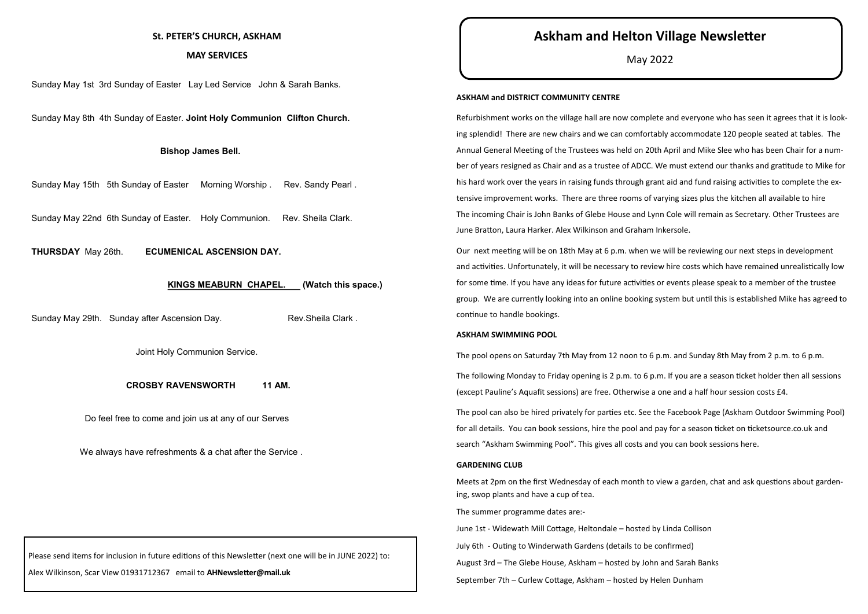Please send items for inclusion in future editions of this Newsletter (next one will be in JUNE 2022) to:

Alex Wilkinson, Scar View 01931712367 email to **AHNewsletter@mail.uk**

Sunday May 1st 3rd Sunday of Easter Lay Led Service John & Sarah Banks.

Sunday May 8th 4th Sunday of Easter. **Joint Holy Communion Clifton Church.**

# **Bishop James Bell.**

Sunday May 15th 5th Sunday of Easter Morning Worship . Rev. Sandy Pearl .

Sunday May 22nd 6th Sunday of Easter. Holy Communion. Rev. Sheila Clark.

**THURSDAY** May 26th. **ECUMENICAL ASCENSION DAY.**

# **KINGS MEABURN CHAPEL. (Watch this space.)**

Sunday May 29th. Sunday after Ascension Day. The Rev. Sheila Clark .

Joint Holy Communion Service.

#### **CROSBY RAVENSWORTH 11 AM.**

Do feel free to come and join us at any of our Serves

We always have refreshments & a chat after the Service .

# **St. PETER'S CHURCH, ASKHAM**

# **MAY SERVICES**

# **Askham and Helton Village Newsletter**

May 2022

#### **ASKHAM and DISTRICT COMMUNITY CENTRE**

Refurbishment works on the village hall are now complete and everyone who has seen it agrees that it is looking splendid! There are new chairs and we can comfortably accommodate 120 people seated at tables. The Annual General Meeting of the Trustees was held on 20th April and Mike Slee who has been Chair for a number of years resigned as Chair and as a trustee of ADCC. We must extend our thanks and gratitude to Mike for his hard work over the years in raising funds through grant aid and fund raising activities to complete the extensive improvement works. There are three rooms of varying sizes plus the kitchen all available to hire The incoming Chair is John Banks of Glebe House and Lynn Cole will remain as Secretary. Other Trustees are June Bratton, Laura Harker. Alex Wilkinson and Graham Inkersole.

Our next meeting will be on 18th May at 6 p.m. when we will be reviewing our next steps in development and activities. Unfortunately, it will be necessary to review hire costs which have remained unrealistically low for some time. If you have any ideas for future activities or events please speak to a member of the trustee group. We are currently looking into an online booking system but until this is established Mike has agreed to continue to handle bookings.

# **ASKHAM SWIMMING POOL**

The pool opens on Saturday 7th May from 12 noon to 6 p.m. and Sunday 8th May from 2 p.m. to 6 p.m. The following Monday to Friday opening is 2 p.m. to 6 p.m. If you are a season ticket holder then all sessions (except Pauline's Aquafit sessions) are free. Otherwise a one and a half hour session costs £4.

The pool can also be hired privately for parties etc. See the Facebook Page (Askham Outdoor Swimming Pool) for all details. You can book sessions, hire the pool and pay for a season ticket on ticketsource.co.uk and search "Askham Swimming Pool". This gives all costs and you can book sessions here.

#### **GARDENING CLUB**

Meets at 2pm on the first Wednesday of each month to view a garden, chat and ask questions about gardening, swop plants and have a cup of tea.

The summer programme dates are:-

June 1st - Widewath Mill Cottage, Heltondale – hosted by Linda Collison July 6th - Outing to Winderwath Gardens (details to be confirmed) August 3rd – The Glebe House, Askham – hosted by John and Sarah Banks September 7th – Curlew Cottage, Askham – hosted by Helen Dunham